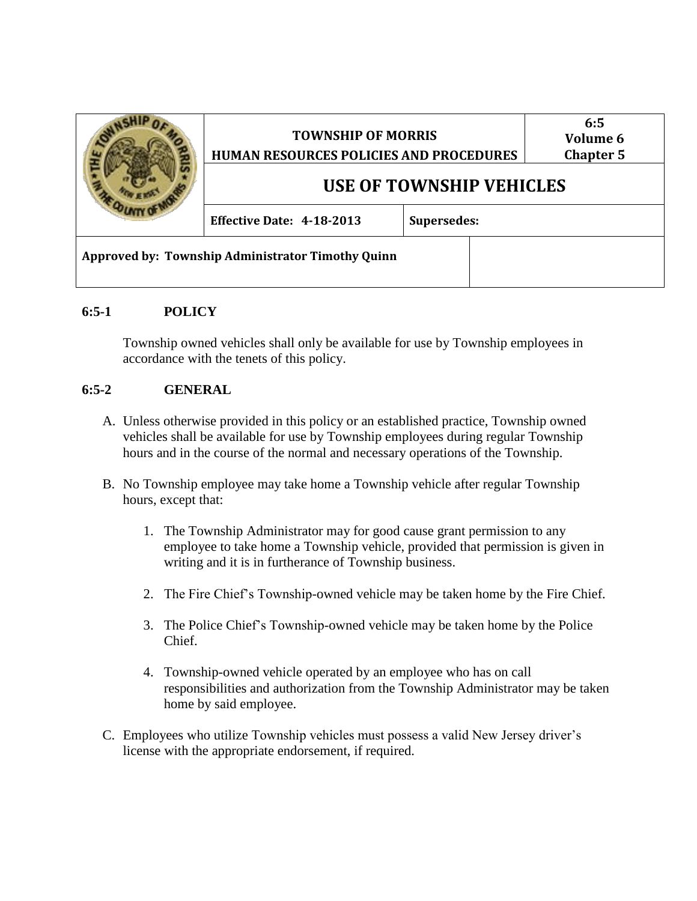|                                                   | <b>TOWNSHIP OF MORRIS</b><br>HUMAN RESOURCES POLICIES AND PROCEDURES |                    | 6:5<br>Volume 6<br><b>Chapter 5</b> |
|---------------------------------------------------|----------------------------------------------------------------------|--------------------|-------------------------------------|
|                                                   | USE OF TOWNSHIP VEHICLES                                             |                    |                                     |
|                                                   | <b>Effective Date: 4-18-2013</b>                                     | <b>Supersedes:</b> |                                     |
| Approved by: Township Administrator Timothy Quinn |                                                                      |                    |                                     |

## **6:5-1 POLICY**

Township owned vehicles shall only be available for use by Township employees in accordance with the tenets of this policy.

## **6:5-2 GENERAL**

- A. Unless otherwise provided in this policy or an established practice, Township owned vehicles shall be available for use by Township employees during regular Township hours and in the course of the normal and necessary operations of the Township.
- B. No Township employee may take home a Township vehicle after regular Township hours, except that:
	- 1. The Township Administrator may for good cause grant permission to any employee to take home a Township vehicle, provided that permission is given in writing and it is in furtherance of Township business.
	- 2. The Fire Chief's Township-owned vehicle may be taken home by the Fire Chief.
	- 3. The Police Chief's Township-owned vehicle may be taken home by the Police Chief.
	- 4. Township-owned vehicle operated by an employee who has on call responsibilities and authorization from the Township Administrator may be taken home by said employee.
- C. Employees who utilize Township vehicles must possess a valid New Jersey driver's license with the appropriate endorsement, if required.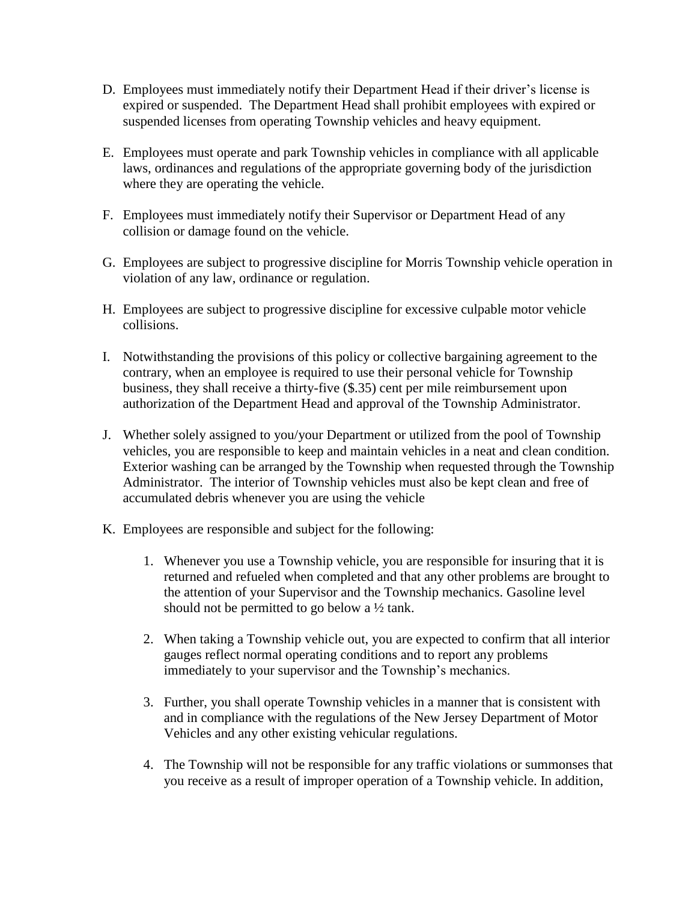- D. Employees must immediately notify their Department Head if their driver's license is expired or suspended. The Department Head shall prohibit employees with expired or suspended licenses from operating Township vehicles and heavy equipment.
- E. Employees must operate and park Township vehicles in compliance with all applicable laws, ordinances and regulations of the appropriate governing body of the jurisdiction where they are operating the vehicle.
- F. Employees must immediately notify their Supervisor or Department Head of any collision or damage found on the vehicle.
- G. Employees are subject to progressive discipline for Morris Township vehicle operation in violation of any law, ordinance or regulation.
- H. Employees are subject to progressive discipline for excessive culpable motor vehicle collisions.
- I. Notwithstanding the provisions of this policy or collective bargaining agreement to the contrary, when an employee is required to use their personal vehicle for Township business, they shall receive a thirty-five (\$.35) cent per mile reimbursement upon authorization of the Department Head and approval of the Township Administrator.
- J. Whether solely assigned to you/your Department or utilized from the pool of Township vehicles, you are responsible to keep and maintain vehicles in a neat and clean condition. Exterior washing can be arranged by the Township when requested through the Township Administrator. The interior of Township vehicles must also be kept clean and free of accumulated debris whenever you are using the vehicle
- K. Employees are responsible and subject for the following:
	- 1. Whenever you use a Township vehicle, you are responsible for insuring that it is returned and refueled when completed and that any other problems are brought to the attention of your Supervisor and the Township mechanics. Gasoline level should not be permitted to go below a ½ tank.
	- 2. When taking a Township vehicle out, you are expected to confirm that all interior gauges reflect normal operating conditions and to report any problems immediately to your supervisor and the Township's mechanics.
	- 3. Further, you shall operate Township vehicles in a manner that is consistent with and in compliance with the regulations of the New Jersey Department of Motor Vehicles and any other existing vehicular regulations.
	- 4. The Township will not be responsible for any traffic violations or summonses that you receive as a result of improper operation of a Township vehicle. In addition,